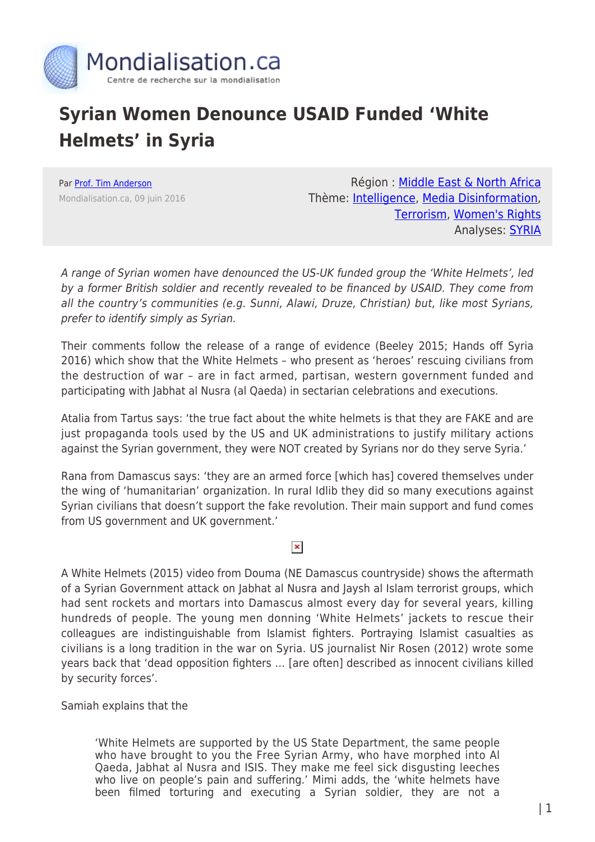

## **Syrian Women Denounce USAID Funded 'White Helmets' in Syria**

Par [Prof. Tim Anderson](https://www.mondialisation.ca/author/tim-anderson) Mondialisation.ca, 09 juin 2016

Région : [Middle East & North Africa](https://www.mondialisation.ca/region/middle-east) Thème: [Intelligence,](https://www.mondialisation.ca/theme/intelligence) [Media Disinformation](https://www.mondialisation.ca/theme/media-disinformation), [Terrorism](https://www.mondialisation.ca/theme/9-11-war-on-terrorism), [Women's Rights](https://www.mondialisation.ca/theme/women-s-rights) Analyses: **SYRIA** 

A range of Syrian women have denounced the US-UK funded group the 'White Helmets', led by a former British soldier and recently revealed to be financed by USAID. They come from all the country's communities (e.g. Sunni, Alawi, Druze, Christian) but, like most Syrians, prefer to identify simply as Syrian.

Their comments follow the release of a range of evidence (Beeley 2015; Hands off Syria 2016) which show that the White Helmets – who present as 'heroes' rescuing civilians from the destruction of war – are in fact armed, partisan, western government funded and participating with Jabhat al Nusra (al Qaeda) in sectarian celebrations and executions.

Atalia from Tartus says: 'the true fact about the white helmets is that they are FAKE and are just propaganda tools used by the US and UK administrations to justify military actions against the Syrian government, they were NOT created by Syrians nor do they serve Syria.'

Rana from Damascus says: 'they are an armed force [which has] covered themselves under the wing of 'humanitarian' organization. In rural Idlib they did so many executions against Syrian civilians that doesn't support the fake revolution. Their main support and fund comes from US government and UK government.'

## $\pmb{\times}$

A White Helmets (2015) video from Douma (NE Damascus countryside) shows the aftermath of a Syrian Government attack on Jabhat al Nusra and Jaysh al Islam terrorist groups, which had sent rockets and mortars into Damascus almost every day for several years, killing hundreds of people. The young men donning 'White Helmets' jackets to rescue their colleagues are indistinguishable from Islamist fighters. Portraying Islamist casualties as civilians is a long tradition in the war on Syria. US journalist Nir Rosen (2012) wrote some years back that 'dead opposition fighters … [are often] described as innocent civilians killed by security forces'.

Samiah explains that the

'White Helmets are supported by the US State Department, the same people who have brought to you the Free Syrian Army, who have morphed into Al Qaeda, Jabhat al Nusra and ISIS. They make me feel sick disgusting leeches who live on people's pain and suffering.' Mimi adds, the 'white helmets have been filmed torturing and executing a Syrian soldier, they are not a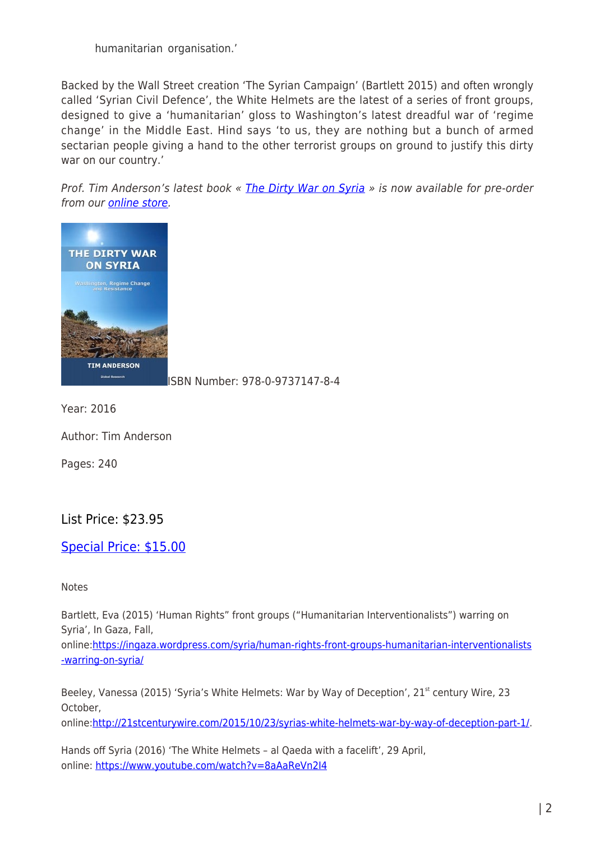humanitarian organisation.'

Backed by the Wall Street creation 'The Syrian Campaign' (Bartlett 2015) and often wrongly called 'Syrian Civil Defence', the White Helmets are the latest of a series of front groups, designed to give a 'humanitarian' gloss to Washington's latest dreadful war of 'regime change' in the Middle East. Hind says 'to us, they are nothing but a bunch of armed sectarian people giving a hand to the other terrorist groups on ground to justify this dirty war on our country.'

Prof. Tim Anderson's latest book « [The Dirty War on Syria](https://store.globalresearch.ca/store/new-the-dirty-war-on-syria-washington-regime-change-and-resistance-print-copy/) » is now available for pre-order from our [online store](https://store.globalresearch.ca/store/new-the-dirty-war-on-syria-washington-regime-change-and-resistance-print-copy/).



[I](https://store.globalresearch.ca/store/new-the-dirty-war-on-syria-washington-regime-change-and-resistance-print-copy/)SBN Number: 978-0-9737147-8-4

Year: 2016

Author: Tim Anderson

Pages: 240

## List Price: \$23.95

## [Special Price: \\$15.00](https://store.globalresearch.ca/store/new-the-dirty-war-on-syria-washington-regime-change-and-resistance-print-copy/)

**Notes** 

Bartlett, Eva (2015) 'Human Rights" front groups ("Humanitarian Interventionalists") warring on Syria', In Gaza, Fall,

online:[https://ingaza.wordpress.com/syria/human-rights-front-groups-humanitarian-interventionalists](https://ingaza.wordpress.com/syria/human-rights-front-groups-humanitarian-interventionalists-warring-on-syria/) [-warring-on-syria/](https://ingaza.wordpress.com/syria/human-rights-front-groups-humanitarian-interventionalists-warring-on-syria/)

Beeley, Vanessa (2015) 'Syria's White Helmets: War by Way of Deception', 21<sup>st</sup> century Wire, 23 October,

online:[http://21stcenturywire.com/2015/10/23/syrias-white-helmets-war-by-way-of-deception-part-1/.](http://21stcenturywire.com/2015/10/23/syrias-white-helmets-war-by-way-of-deception-part-1/)

Hands off Syria (2016) 'The White Helmets – al Qaeda with a facelift', 29 April, online: <https://www.youtube.com/watch?v=8aAaReVn2I4>